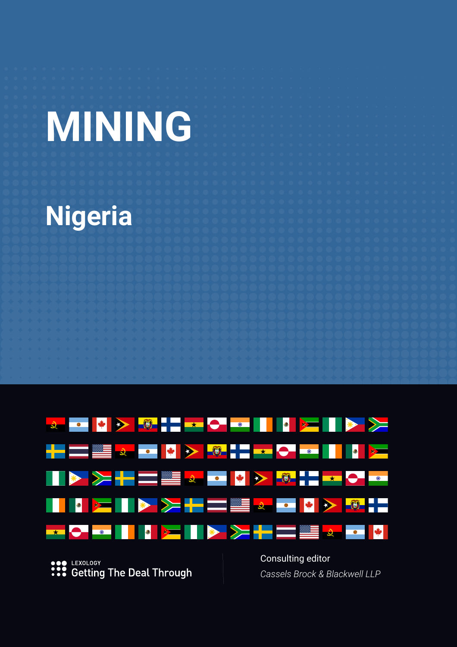# **MINING**

# **Nigeria**



**...** LEXOLOGY<br> **...** Getting The Deal Through

Consulting editor *Cassels Brock & Blackwell LLP*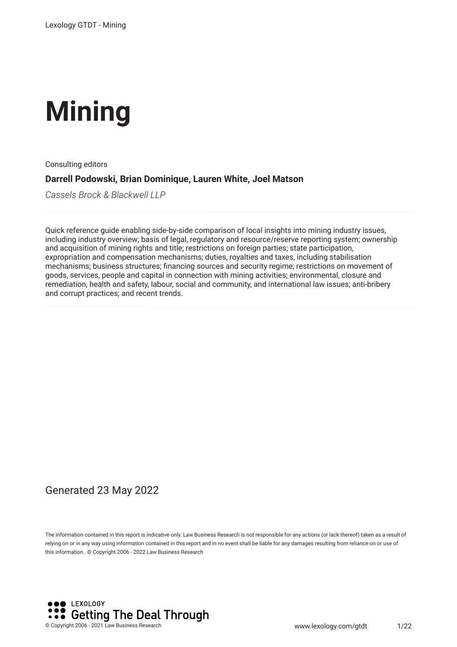# **Mining**

Consulting editors

#### **Darrell Podowski, Brian Dominique, Lauren White, Joel Matson**

*Cassels Brock & Blackwell LLP*

Quick reference guide enabling side-by-side comparison of local insights into mining industry issues, including industry overview; basis of legal, regulatory and resource/reserve reporting system; ownership and acquisition of mining rights and title; restrictions on foreign parties; state participation, expropriation and compensation mechanisms; duties, royalties and taxes, including stabilisation mechanisms; business structures; fnancing sources and security regime; restrictions on movement of goods, services, people and capital in connection with mining activities; environmental, closure and remediation, health and safety, labour, social and community, and international law issues; anti-bribery and corrupt practices; and recent trends.

#### Generated 23 May 2022

The information contained in this report is indicative only. Law Business Research is not responsible for any actions (or lack thereof) taken as a result of relying on or in any way using information contained in this report and in no event shall be liable for any damages resulting from reliance on or use of this information. © Copyright 2006 - 2022 Law Business Research

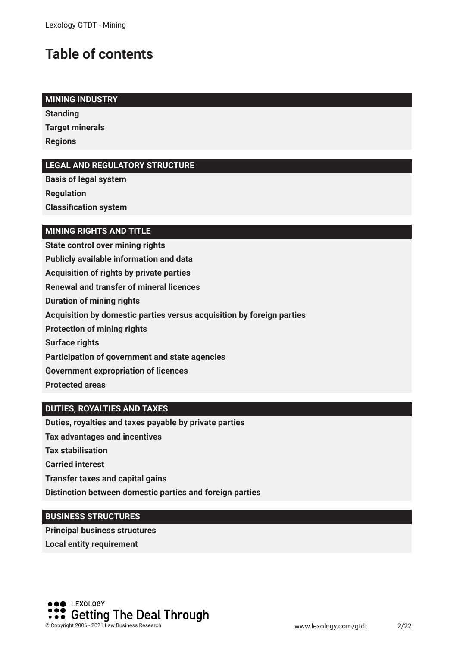## **Table of contents**

#### **MINING INDUSTRY**

**Standing Target minerals Regions**

#### **LEGAL AND REGULATORY STRUCTURE**

**Basis of legal system Regulation Classifcation system**

#### **MINING RIGHTS AND TITLE**

**State control over mining rights Publicly available information and data Acquisition of rights by private parties Renewal and transfer of mineral licences Duration of mining rights Acquisition by domestic parties versus acquisition by foreign parties Protection of mining rights Surface rights Participation of government and state agencies Government expropriation of licences Protected areas**

#### **DUTIES, ROYALTIES AND TAXES**

**Duties, royalties and taxes payable by private parties**

**Tax advantages and incentives**

**Tax stabilisation**

**Carried interest**

**Transfer taxes and capital gains**

**Distinction between domestic parties and foreign parties**

#### **BUSINESS STRUCTURES**

**Principal business structures Local entity requirement**

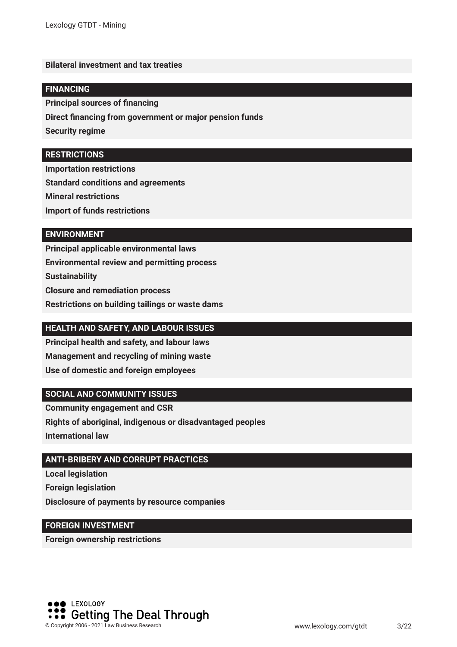#### **Bilateral investment and tax treaties**

#### **FINANCING**

**Principal sources of fnancing**

**Direct fnancing from government or major pension funds**

**Security regime**

#### **RESTRICTIONS**

**Importation restrictions**

**Standard conditions and agreements**

**Mineral restrictions**

**Import of funds restrictions**

#### **ENVIRONMENT**

**Principal applicable environmental laws Environmental review and permitting process Sustainability Closure and remediation process Restrictions on building tailings or waste dams**

#### **HEALTH AND SAFETY, AND LABOUR ISSUES**

**Principal health and safety, and labour laws Management and recycling of mining waste Use of domestic and foreign employees**

#### **SOCIAL AND COMMUNITY ISSUES**

**Community engagement and CSR Rights of aboriginal, indigenous or disadvantaged peoples**

**International law**

#### **ANTI-BRIBERY AND CORRUPT PRACTICES**

**Local legislation Foreign legislation Disclosure of payments by resource companies**

#### **FOREIGN INVESTMENT**

**Foreign ownership restrictions**

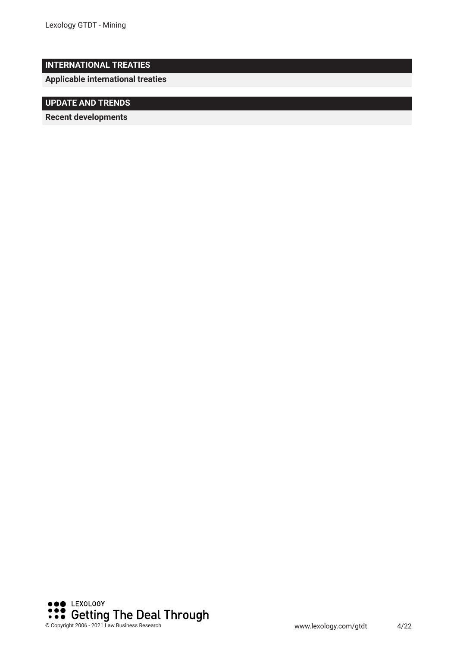#### **INTERNATIONAL TREATIES**

**Applicable international treaties**

#### **UPDATE AND TRENDS**

**Recent developments** 

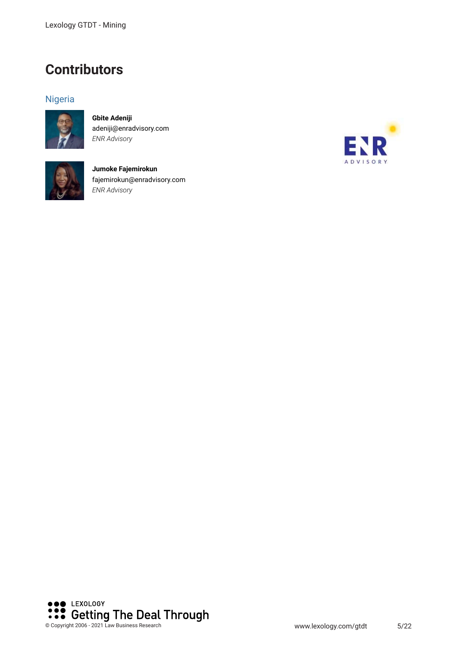### **Contributors**

#### Nigeria



**Gbite Adeniji** adeniji@enradvisory.com *ENR Advisory*



**Jumoke Fajemirokun** fajemirokun@enradvisory.com *ENR Advisory*



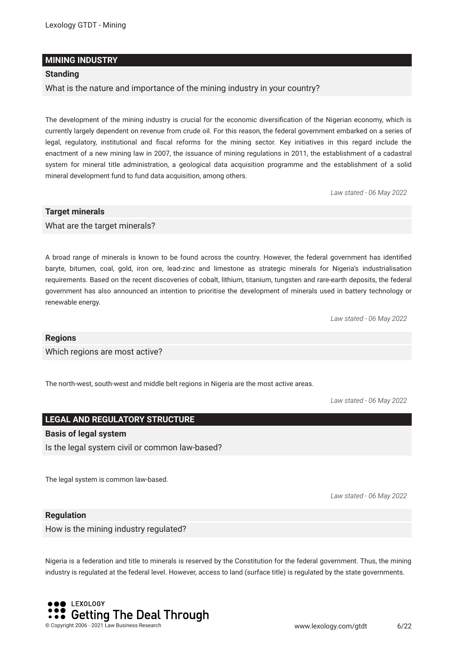#### **MINING INDUSTRY**

#### **Standing**

What is the nature and importance of the mining industry in your country?

The development of the mining industry is crucial for the economic diversifcation of the Nigerian economy, which is currently largely dependent on revenue from crude oil. For this reason, the federal government embarked on a series of legal, regulatory, institutional and fscal reforms for the mining sector. Key initiatives in this regard include the enactment of a new mining law in 2007, the issuance of mining regulations in 2011, the establishment of a cadastral system for mineral title administration, a geological data acquisition programme and the establishment of a solid mineral development fund to fund data acquisition, among others.

*Law stated - 06 May 2022*

#### **Target minerals**

What are the target minerals?

A broad range of minerals is known to be found across the country. However, the federal government has identifed baryte, bitumen, coal, gold, iron ore, lead-zinc and limestone as strategic minerals for Nigeria's industrialisation requirements. Based on the recent discoveries of cobalt, lithium, titanium, tungsten and rare-earth deposits, the federal government has also announced an intention to prioritise the development of minerals used in battery technology or renewable energy.

*Law stated - 06 May 2022*

#### **Regions**

Which regions are most active?

The north-west, south-west and middle belt regions in Nigeria are the most active areas.

*Law stated - 06 May 2022*

#### **LEGAL AND REGULATORY STRUCTURE**

#### **Basis of legal system**

Is the legal system civil or common law-based?

The legal system is common law-based.

*Law stated - 06 May 2022*

#### **Regulation**

How is the mining industry regulated?

Nigeria is a federation and title to minerals is reserved by the Constitution for the federal government. Thus, the mining industry is regulated at the federal level. However, access to land (surface title) is regulated by the state governments.

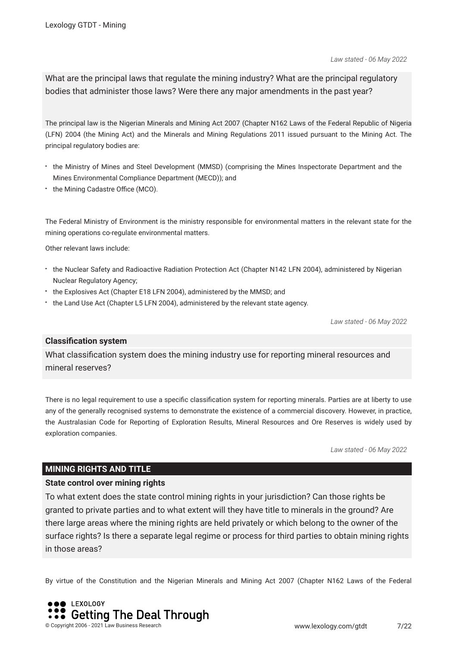*Law stated - 06 May 2022*

What are the principal laws that regulate the mining industry? What are the principal regulatory bodies that administer those laws? Were there any major amendments in the past year?

The principal law is the Nigerian Minerals and Mining Act 2007 (Chapter N162 Laws of the Federal Republic of Nigeria (LFN) 2004 (the Mining Act) and the Minerals and Mining Regulations 2011 issued pursuant to the Mining Act. The principal regulatory bodies are:

- the Ministry of Mines and Steel Development (MMSD) (comprising the Mines Inspectorate Department and the Mines Environmental Compliance Department (MECD)); and
- the Mining Cadastre Office (MCO).

The Federal Ministry of Environment is the ministry responsible for environmental matters in the relevant state for the mining operations co-regulate environmental matters.

Other relevant laws include:

- the Nuclear Safety and Radioactive Radiation Protection Act (Chapter N142 LFN 2004), administered by Nigerian Nuclear Regulatory Agency;
- the Explosives Act (Chapter E18 LFN 2004), administered by the MMSD; and
- the Land Use Act (Chapter L5 LFN 2004), administered by the relevant state agency.

*Law stated - 06 May 2022*

#### **Classifcation system**

What classifcation system does the mining industry use for reporting mineral resources and mineral reserves?

There is no legal requirement to use a specifc classifcation system for reporting minerals. Parties are at liberty to use any of the generally recognised systems to demonstrate the existence of a commercial discovery. However, in practice, the Australasian Code for Reporting of Exploration Results, Mineral Resources and Ore Reserves is widely used by exploration companies.

*Law stated - 06 May 2022*

#### **MINING RIGHTS AND TITLE**

#### **State control over mining rights**

To what extent does the state control mining rights in your jurisdiction? Can those rights be granted to private parties and to what extent will they have title to minerals in the ground? Are there large areas where the mining rights are held privately or which belong to the owner of the surface rights? Is there a separate legal regime or process for third parties to obtain mining rights in those areas?

By virtue of the Constitution and the Nigerian Minerals and Mining Act 2007 (Chapter N162 Laws of the Federal

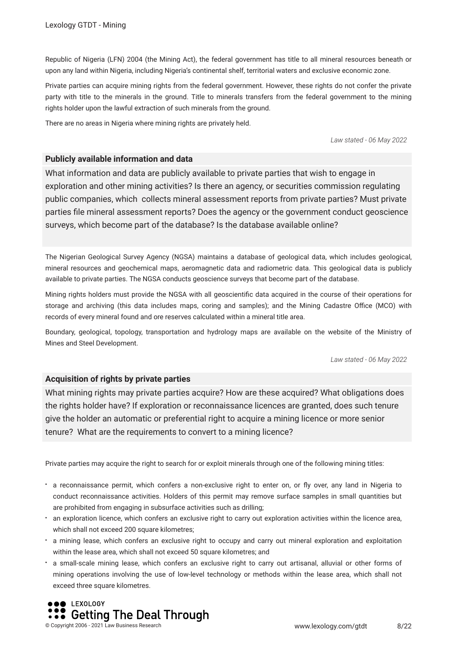Republic of Nigeria (LFN) 2004 (the Mining Act), the federal government has title to all mineral resources beneath or upon any land within Nigeria, including Nigeria's continental shelf, territorial waters and exclusive economic zone.

Private parties can acquire mining rights from the federal government. However, these rights do not confer the private party with title to the minerals in the ground. Title to minerals transfers from the federal government to the mining rights holder upon the lawful extraction of such minerals from the ground.

There are no areas in Nigeria where mining rights are privately held.

*Law stated - 06 May 2022*

#### **Publicly available information and data**

What information and data are publicly available to private parties that wish to engage in exploration and other mining activities? Is there an agency, or securities commission regulating public companies, which collects mineral assessment reports from private parties? Must private parties fle mineral assessment reports? Does the agency or the government conduct geoscience surveys, which become part of the database? Is the database available online?

The Nigerian Geological Survey Agency (NGSA) maintains a database of geological data, which includes geological, mineral resources and geochemical maps, aeromagnetic data and radiometric data. This geological data is publicly available to private parties. The NGSA conducts geoscience surveys that become part of the database.

Mining rights holders must provide the NGSA with all geoscientifc data acquired in the course of their operations for storage and archiving (this data includes maps, coring and samples); and the Mining Cadastre Office (MCO) with records of every mineral found and ore reserves calculated within a mineral title area.

Boundary, geological, topology, transportation and hydrology maps are available on the website of the Ministry of Mines and Steel Development.

*Law stated - 06 May 2022*

#### **Acquisition of rights by private parties**

What mining rights may private parties acquire? How are these acquired? What obligations does the rights holder have? If exploration or reconnaissance licences are granted, does such tenure give the holder an automatic or preferential right to acquire a mining licence or more senior tenure? What are the requirements to convert to a mining licence?

Private parties may acquire the right to search for or exploit minerals through one of the following mining titles:

- a reconnaissance permit, which confers a non-exclusive right to enter on, or fy over, any land in Nigeria to conduct reconnaissance activities. Holders of this permit may remove surface samples in small quantities but are prohibited from engaging in subsurface activities such as drilling;
- an exploration licence, which confers an exclusive right to carry out exploration activities within the licence area, which shall not exceed 200 square kilometres;
- a mining lease, which confers an exclusive right to occupy and carry out mineral exploration and exploitation within the lease area, which shall not exceed 50 square kilometres; and
- a small-scale mining lease, which confers an exclusive right to carry out artisanal, alluvial or other forms of mining operations involving the use of low-level technology or methods within the lease area, which shall not exceed three square kilometres.

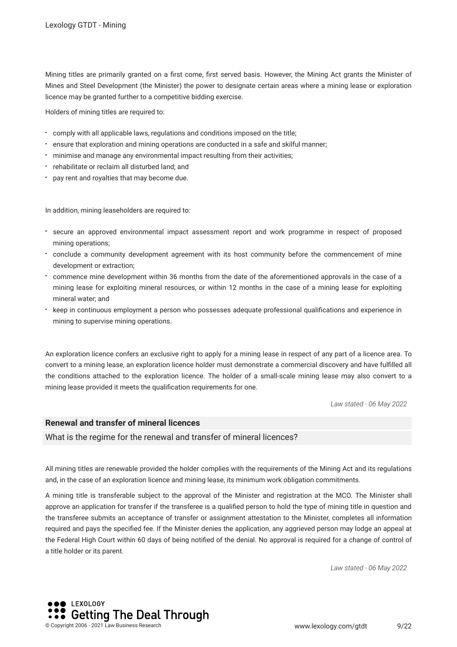Mining titles are primarily granted on a frst come, frst served basis. However, the Mining Act grants the Minister of Mines and Steel Development (the Minister) the power to designate certain areas where a mining lease or exploration licence may be granted further to a competitive bidding exercise.

Holders of mining titles are required to:

- comply with all applicable laws, regulations and conditions imposed on the title;
- ensure that exploration and mining operations are conducted in a safe and skilful manner;
- minimise and manage any environmental impact resulting from their activities;
- rehabilitate or reclaim all disturbed land; and
- pay rent and royalties that may become due.

In addition, mining leaseholders are required to:

- secure an approved environmental impact assessment report and work programme in respect of proposed mining operations;
- conclude a community development agreement with its host community before the commencement of mine development or extraction;
- commence mine development within 36 months from the date of the aforementioned approvals in the case of a mining lease for exploiting mineral resources, or within 12 months in the case of a mining lease for exploiting mineral water; and
- keep in continuous employment a person who possesses adequate professional qualifcations and experience in mining to supervise mining operations.

An exploration licence confers an exclusive right to apply for a mining lease in respect of any part of a licence area. To convert to a mining lease, an exploration licence holder must demonstrate a commercial discovery and have fulflled all the conditions attached to the exploration licence. The holder of a small-scale mining lease may also convert to a mining lease provided it meets the qualifcation requirements for one.

*Law stated - 06 May 2022*

#### **Renewal and transfer of mineral licences**

What is the regime for the renewal and transfer of mineral licences?

All mining titles are renewable provided the holder complies with the requirements of the Mining Act and its regulations and, in the case of an exploration licence and mining lease, its minimum work obligation commitments.

A mining title is transferable subject to the approval of the Minister and registration at the MCO. The Minister shall approve an application for transfer if the transferee is a qualifed person to hold the type of mining title in question and the transferee submits an acceptance of transfer or assignment attestation to the Minister, completes all information required and pays the specifed fee. If the Minister denies the application, any aggrieved person may lodge an appeal at the Federal High Court within 60 days of being notifed of the denial. No approval is required for a change of control of a title holder or its parent.

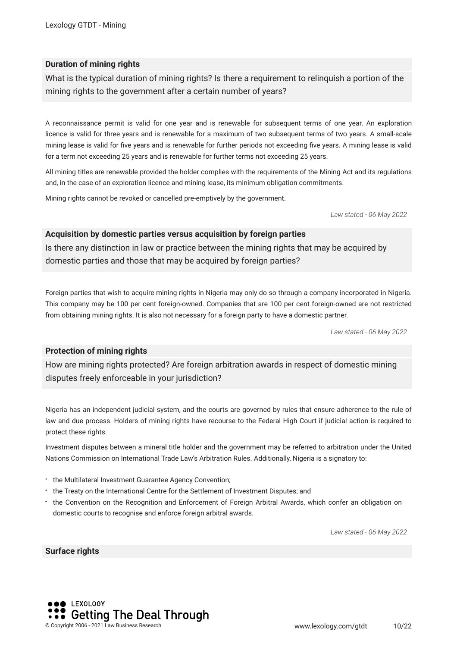#### **Duration of mining rights**

What is the typical duration of mining rights? Is there a requirement to relinquish a portion of the mining rights to the government after a certain number of years?

A reconnaissance permit is valid for one year and is renewable for subsequent terms of one year. An exploration licence is valid for three years and is renewable for a maximum of two subsequent terms of two years. A small-scale mining lease is valid for fve years and is renewable for further periods not exceeding fve years. A mining lease is valid for a term not exceeding 25 years and is renewable for further terms not exceeding 25 years.

All mining titles are renewable provided the holder complies with the requirements of the Mining Act and its regulations and, in the case of an exploration licence and mining lease, its minimum obligation commitments.

Mining rights cannot be revoked or cancelled pre-emptively by the government.

*Law stated - 06 May 2022*

#### **Acquisition by domestic parties versus acquisition by foreign parties**

Is there any distinction in law or practice between the mining rights that may be acquired by domestic parties and those that may be acquired by foreign parties?

Foreign parties that wish to acquire mining rights in Nigeria may only do so through a company incorporated in Nigeria. This company may be 100 per cent foreign-owned. Companies that are 100 per cent foreign-owned are not restricted from obtaining mining rights. It is also not necessary for a foreign party to have a domestic partner.

*Law stated - 06 May 2022*

#### **Protection of mining rights**

How are mining rights protected? Are foreign arbitration awards in respect of domestic mining disputes freely enforceable in your jurisdiction?

Nigeria has an independent judicial system, and the courts are governed by rules that ensure adherence to the rule of law and due process. Holders of mining rights have recourse to the Federal High Court if judicial action is required to protect these rights.

Investment disputes between a mineral title holder and the government may be referred to arbitration under the United Nations Commission on International Trade Law's Arbitration Rules. Additionally, Nigeria is a signatory to:

- the Multilateral Investment Guarantee Agency Convention;
- the Treaty on the International Centre for the Settlement of Investment Disputes; and
- the Convention on the Recognition and Enforcement of Foreign Arbitral Awards, which confer an obligation on domestic courts to recognise and enforce foreign arbitral awards.

*Law stated - 06 May 2022*

#### **Surface rights**

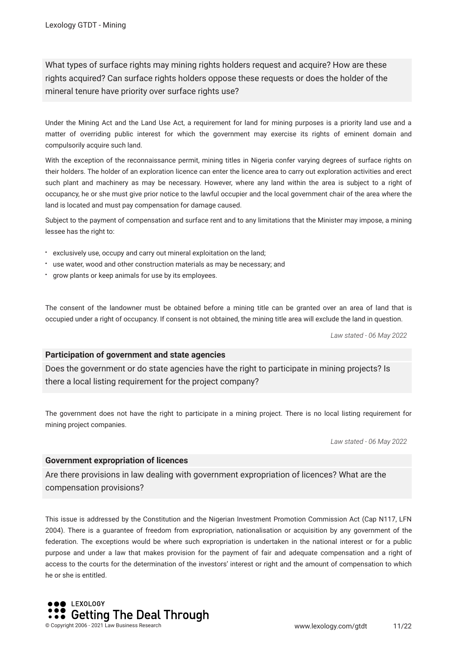What types of surface rights may mining rights holders request and acquire? How are these rights acquired? Can surface rights holders oppose these requests or does the holder of the mineral tenure have priority over surface rights use?

Under the Mining Act and the Land Use Act, a requirement for land for mining purposes is a priority land use and a matter of overriding public interest for which the government may exercise its rights of eminent domain and compulsorily acquire such land.

With the exception of the reconnaissance permit, mining titles in Nigeria confer varying degrees of surface rights on their holders. The holder of an exploration licence can enter the licence area to carry out exploration activities and erect such plant and machinery as may be necessary. However, where any land within the area is subject to a right of occupancy, he or she must give prior notice to the lawful occupier and the local government chair of the area where the land is located and must pay compensation for damage caused.

Subject to the payment of compensation and surface rent and to any limitations that the Minister may impose, a mining lessee has the right to:

- exclusively use, occupy and carry out mineral exploitation on the land;
- use water, wood and other construction materials as may be necessary; and
- grow plants or keep animals for use by its employees.

The consent of the landowner must be obtained before a mining title can be granted over an area of land that is occupied under a right of occupancy. If consent is not obtained, the mining title area will exclude the land in question.

*Law stated - 06 May 2022*

#### **Participation of government and state agencies**

Does the government or do state agencies have the right to participate in mining projects? Is there a local listing requirement for the project company?

The government does not have the right to participate in a mining project. There is no local listing requirement for mining project companies.

*Law stated - 06 May 2022*

#### **Government expropriation of licences**

Are there provisions in law dealing with government expropriation of licences? What are the compensation provisions?

This issue is addressed by the Constitution and the Nigerian Investment Promotion Commission Act (Cap N117, LFN 2004). There is a guarantee of freedom from expropriation, nationalisation or acquisition by any government of the federation. The exceptions would be where such expropriation is undertaken in the national interest or for a public purpose and under a law that makes provision for the payment of fair and adequate compensation and a right of access to the courts for the determination of the investors' interest or right and the amount of compensation to which he or she is entitled.

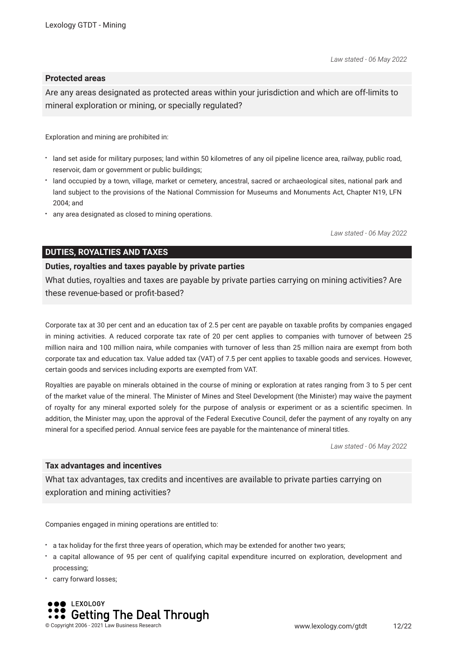#### **Protected areas**

Are any areas designated as protected areas within your jurisdiction and which are off-limits to mineral exploration or mining, or specially regulated?

Exploration and mining are prohibited in:

- land set aside for military purposes; land within 50 kilometres of any oil pipeline licence area, railway, public road, reservoir, dam or government or public buildings;
- land occupied by a town, village, market or cemetery, ancestral, sacred or archaeological sites, national park and land subject to the provisions of the National Commission for Museums and Monuments Act, Chapter N19, LFN 2004; and
- any area designated as closed to mining operations.

*Law stated - 06 May 2022*

#### **DUTIES, ROYALTIES AND TAXES**

#### **Duties, royalties and taxes payable by private parties**

What duties, royalties and taxes are payable by private parties carrying on mining activities? Are these revenue-based or proft-based?

Corporate tax at 30 per cent and an education tax of 2.5 per cent are payable on taxable profts by companies engaged in mining activities. A reduced corporate tax rate of 20 per cent applies to companies with turnover of between 25 million naira and 100 million naira, while companies with turnover of less than 25 million naira are exempt from both corporate tax and education tax. Value added tax (VAT) of 7.5 per cent applies to taxable goods and services. However, certain goods and services including exports are exempted from VAT.

Royalties are payable on minerals obtained in the course of mining or exploration at rates ranging from 3 to 5 per cent of the market value of the mineral. The Minister of Mines and Steel Development (the Minister) may waive the payment of royalty for any mineral exported solely for the purpose of analysis or experiment or as a scientifc specimen. In addition, the Minister may, upon the approval of the Federal Executive Council, defer the payment of any royalty on any mineral for a specifed period. Annual service fees are payable for the maintenance of mineral titles.

*Law stated - 06 May 2022*

#### **Tax advantages and incentives**

What tax advantages, tax credits and incentives are available to private parties carrying on exploration and mining activities?

Companies engaged in mining operations are entitled to:

- a tax holiday for the frst three years of operation, which may be extended for another two years;
- a capital allowance of 95 per cent of qualifying capital expenditure incurred on exploration, development and processing;
- carry forward losses;

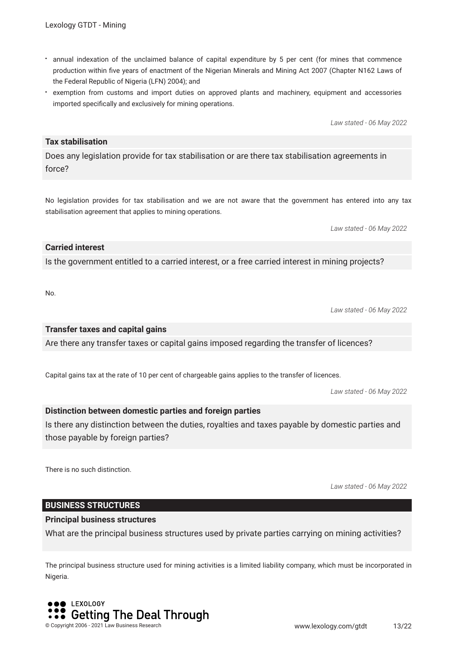- annual indexation of the unclaimed balance of capital expenditure by 5 per cent (for mines that commence production within fve years of enactment of the Nigerian Minerals and Mining Act 2007 (Chapter N162 Laws of the Federal Republic of Nigeria (LFN) 2004); and
- exemption from customs and import duties on approved plants and machinery, equipment and accessories imported specifcally and exclusively for mining operations.

*Law stated - 06 May 2022*

#### **Tax stabilisation**

Does any legislation provide for tax stabilisation or are there tax stabilisation agreements in force?

No legislation provides for tax stabilisation and we are not aware that the government has entered into any tax stabilisation agreement that applies to mining operations.

*Law stated - 06 May 2022*

*Law stated - 06 May 2022*

#### **Carried interest**

Is the government entitled to a carried interest, or a free carried interest in mining projects?

No.

#### **Transfer taxes and capital gains**

Are there any transfer taxes or capital gains imposed regarding the transfer of licences?

Capital gains tax at the rate of 10 per cent of chargeable gains applies to the transfer of licences.

*Law stated - 06 May 2022*

#### **Distinction between domestic parties and foreign parties**

Is there any distinction between the duties, royalties and taxes payable by domestic parties and those payable by foreign parties?

There is no such distinction.

*Law stated - 06 May 2022*

#### **BUSINESS STRUCTURES**

#### **Principal business structures**

What are the principal business structures used by private parties carrying on mining activities?

The principal business structure used for mining activities is a limited liability company, which must be incorporated in Nigeria.

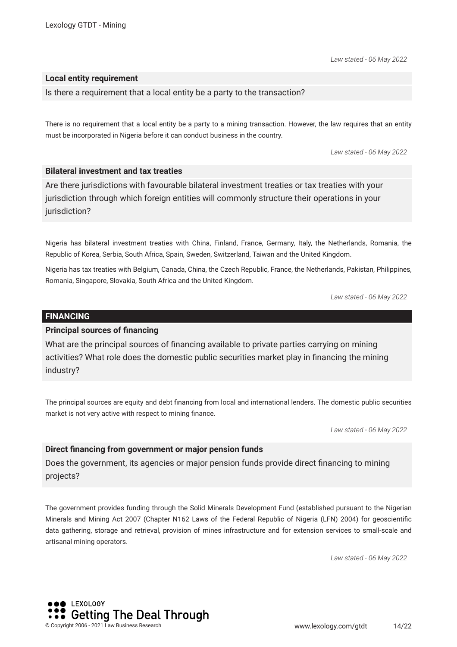*Law stated - 06 May 2022*

#### **Local entity requirement**

Is there a requirement that a local entity be a party to the transaction?

There is no requirement that a local entity be a party to a mining transaction. However, the law requires that an entity must be incorporated in Nigeria before it can conduct business in the country.

*Law stated - 06 May 2022*

#### **Bilateral investment and tax treaties**

Are there jurisdictions with favourable bilateral investment treaties or tax treaties with your jurisdiction through which foreign entities will commonly structure their operations in your jurisdiction?

Nigeria has bilateral investment treaties with China, Finland, France, Germany, Italy, the Netherlands, Romania, the Republic of Korea, Serbia, South Africa, Spain, Sweden, Switzerland, Taiwan and the United Kingdom.

Nigeria has tax treaties with Belgium, Canada, China, the Czech Republic, France, the Netherlands, Pakistan, Philippines, Romania, Singapore, Slovakia, South Africa and the United Kingdom.

*Law stated - 06 May 2022*

#### **FINANCING**

#### **Principal sources of fnancing**

What are the principal sources of fnancing available to private parties carrying on mining activities? What role does the domestic public securities market play in fnancing the mining industry?

The principal sources are equity and debt fnancing from local and international lenders. The domestic public securities market is not very active with respect to mining fnance.

*Law stated - 06 May 2022*

#### **Direct fnancing from government or major pension funds**

Does the government, its agencies or major pension funds provide direct fnancing to mining projects?

The government provides funding through the Solid Minerals Development Fund (established pursuant to the Nigerian Minerals and Mining Act 2007 (Chapter N162 Laws of the Federal Republic of Nigeria (LFN) 2004) for geoscientifc data gathering, storage and retrieval, provision of mines infrastructure and for extension services to small-scale and artisanal mining operators.

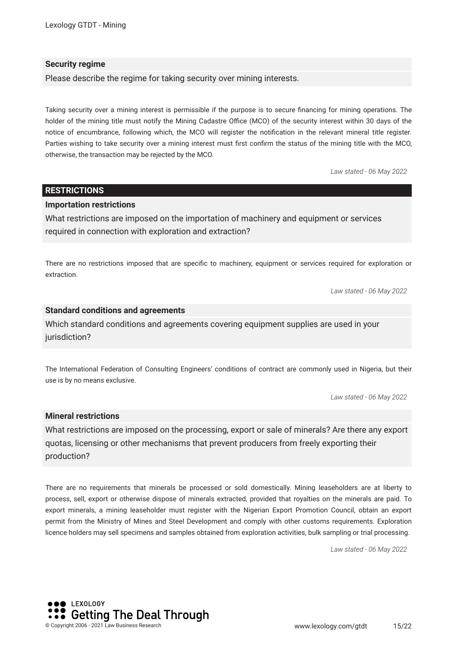#### **Security regime**

Please describe the regime for taking security over mining interests.

Taking security over a mining interest is permissible if the purpose is to secure fnancing for mining operations. The holder of the mining title must notify the Mining Cadastre Office (MCO) of the security interest within 30 days of the notice of encumbrance, following which, the MCO will register the notifcation in the relevant mineral title register. Parties wishing to take security over a mining interest must frst confrm the status of the mining title with the MCO, otherwise, the transaction may be rejected by the MCO.

*Law stated - 06 May 2022*

#### **RESTRICTIONS**

#### **Importation restrictions**

What restrictions are imposed on the importation of machinery and equipment or services required in connection with exploration and extraction?

There are no restrictions imposed that are specifc to machinery, equipment or services required for exploration or extraction.

*Law stated - 06 May 2022*

#### **Standard conditions and agreements**

Which standard conditions and agreements covering equipment supplies are used in your jurisdiction?

The International Federation of Consulting Engineers' conditions of contract are commonly used in Nigeria, but their use is by no means exclusive.

*Law stated - 06 May 2022*

#### **Mineral restrictions**

What restrictions are imposed on the processing, export or sale of minerals? Are there any export quotas, licensing or other mechanisms that prevent producers from freely exporting their production?

There are no requirements that minerals be processed or sold domestically. Mining leaseholders are at liberty to process, sell, export or otherwise dispose of minerals extracted, provided that royalties on the minerals are paid. To export minerals, a mining leaseholder must register with the Nigerian Export Promotion Council, obtain an export permit from the Ministry of Mines and Steel Development and comply with other customs requirements. Exploration licence holders may sell specimens and samples obtained from exploration activities, bulk sampling or trial processing.

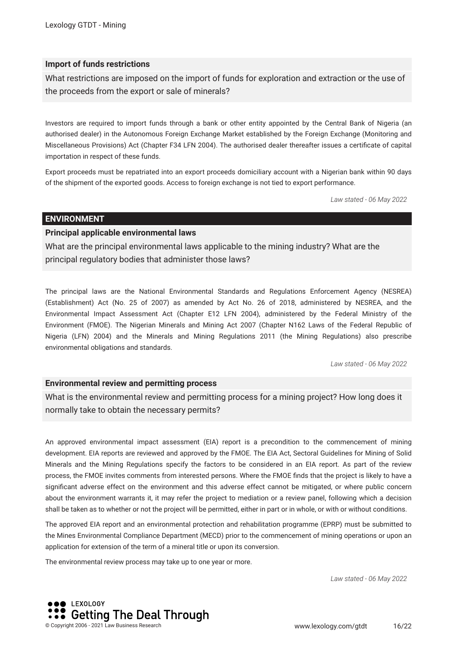#### **Import of funds restrictions**

What restrictions are imposed on the import of funds for exploration and extraction or the use of the proceeds from the export or sale of minerals?

Investors are required to import funds through a bank or other entity appointed by the Central Bank of Nigeria (an authorised dealer) in the Autonomous Foreign Exchange Market established by the Foreign Exchange (Monitoring and Miscellaneous Provisions) Act (Chapter F34 LFN 2004). The authorised dealer thereafter issues a certifcate of capital importation in respect of these funds.

Export proceeds must be repatriated into an export proceeds domiciliary account with a Nigerian bank within 90 days of the shipment of the exported goods. Access to foreign exchange is not tied to export performance.

*Law stated - 06 May 2022*

#### **ENVIRONMENT**

#### **Principal applicable environmental laws**

What are the principal environmental laws applicable to the mining industry? What are the principal regulatory bodies that administer those laws?

The principal laws are the National Environmental Standards and Regulations Enforcement Agency (NESREA) (Establishment) Act (No. 25 of 2007) as amended by Act No. 26 of 2018, administered by NESREA, and the Environmental Impact Assessment Act (Chapter E12 LFN 2004), administered by the Federal Ministry of the Environment (FMOE). The Nigerian Minerals and Mining Act 2007 (Chapter N162 Laws of the Federal Republic of Nigeria (LFN) 2004) and the Minerals and Mining Regulations 2011 (the Mining Regulations) also prescribe environmental obligations and standards.

*Law stated - 06 May 2022*

#### **Environmental review and permitting process**

What is the environmental review and permitting process for a mining project? How long does it normally take to obtain the necessary permits?

An approved environmental impact assessment (EIA) report is a precondition to the commencement of mining development. EIA reports are reviewed and approved by the FMOE. The EIA Act, Sectoral Guidelines for Mining of Solid Minerals and the Mining Regulations specify the factors to be considered in an EIA report. As part of the review process, the FMOE invites comments from interested persons. Where the FMOE fnds that the project is likely to have a signifcant adverse effect on the environment and this adverse effect cannot be mitigated, or where public concern about the environment warrants it, it may refer the project to mediation or a review panel, following which a decision shall be taken as to whether or not the project will be permitted, either in part or in whole, or with or without conditions.

The approved EIA report and an environmental protection and rehabilitation programme (EPRP) must be submitted to the Mines Environmental Compliance Department (MECD) prior to the commencement of mining operations or upon an application for extension of the term of a mineral title or upon its conversion.

The environmental review process may take up to one year or more.

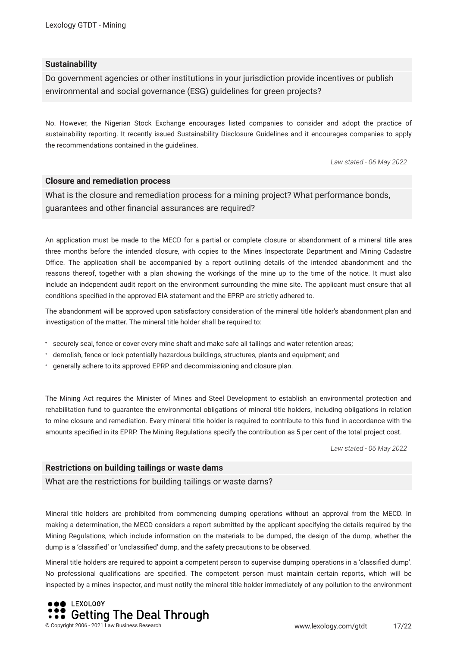#### **Sustainability**

Do government agencies or other institutions in your jurisdiction provide incentives or publish environmental and social governance (ESG) guidelines for green projects?

No. However, the Nigerian Stock Exchange encourages listed companies to consider and adopt the practice of sustainability reporting. It recently issued Sustainability Disclosure Guidelines and it encourages companies to apply the recommendations contained in the guidelines.

*Law stated - 06 May 2022*

#### **Closure and remediation process**

What is the closure and remediation process for a mining project? What performance bonds, guarantees and other fnancial assurances are required?

An application must be made to the MECD for a partial or complete closure or abandonment of a mineral title area three months before the intended closure, with copies to the Mines Inspectorate Department and Mining Cadastre Office. The application shall be accompanied by a report outlining details of the intended abandonment and the reasons thereof, together with a plan showing the workings of the mine up to the time of the notice. It must also include an independent audit report on the environment surrounding the mine site. The applicant must ensure that all conditions specifed in the approved EIA statement and the EPRP are strictly adhered to.

The abandonment will be approved upon satisfactory consideration of the mineral title holder's abandonment plan and investigation of the matter. The mineral title holder shall be required to:

- securely seal, fence or cover every mine shaft and make safe all tailings and water retention areas;
- demolish, fence or lock potentially hazardous buildings, structures, plants and equipment; and
- generally adhere to its approved EPRP and decommissioning and closure plan.

The Mining Act requires the Minister of Mines and Steel Development to establish an environmental protection and rehabilitation fund to guarantee the environmental obligations of mineral title holders, including obligations in relation to mine closure and remediation. Every mineral title holder is required to contribute to this fund in accordance with the amounts specifed in its EPRP. The Mining Regulations specify the contribution as 5 per cent of the total project cost.

*Law stated - 06 May 2022*

#### **Restrictions on building tailings or waste dams**

What are the restrictions for building tailings or waste dams?

Mineral title holders are prohibited from commencing dumping operations without an approval from the MECD. In making a determination, the MECD considers a report submitted by the applicant specifying the details required by the Mining Regulations, which include information on the materials to be dumped, the design of the dump, whether the dump is a 'classifed' or 'unclassifed' dump, and the safety precautions to be observed.

Mineral title holders are required to appoint a competent person to supervise dumping operations in a 'classifed dump'. No professional qualifcations are specifed. The competent person must maintain certain reports, which will be inspected by a mines inspector, and must notify the mineral title holder immediately of any pollution to the environment

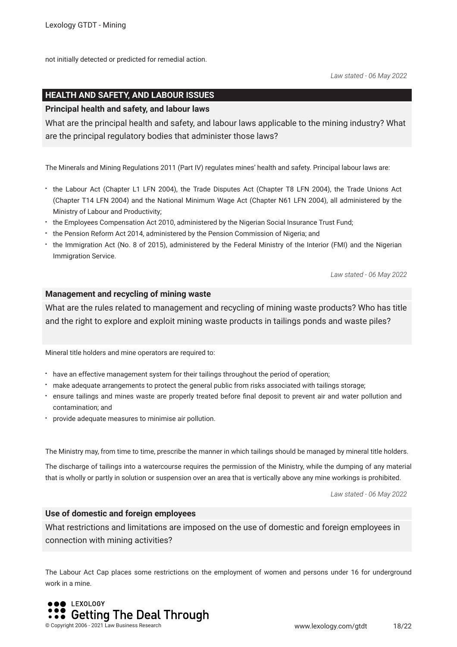not initially detected or predicted for remedial action.

*Law stated - 06 May 2022*

#### **HEALTH AND SAFETY, AND LABOUR ISSUES**

#### **Principal health and safety, and labour laws**

What are the principal health and safety, and labour laws applicable to the mining industry? What are the principal regulatory bodies that administer those laws?

The Minerals and Mining Regulations 2011 (Part IV) regulates mines' health and safety. Principal labour laws are:

- the Labour Act (Chapter L1 LFN 2004), the Trade Disputes Act (Chapter T8 LFN 2004), the Trade Unions Act (Chapter T14 LFN 2004) and the National Minimum Wage Act (Chapter N61 LFN 2004), all administered by the Ministry of Labour and Productivity;
- the Employees Compensation Act 2010, administered by the Nigerian Social Insurance Trust Fund;
- the Pension Reform Act 2014, administered by the Pension Commission of Nigeria; and
- the Immigration Act (No. 8 of 2015), administered by the Federal Ministry of the Interior (FMI) and the Nigerian Immigration Service.

*Law stated - 06 May 2022*

#### **Management and recycling of mining waste**

What are the rules related to management and recycling of mining waste products? Who has title and the right to explore and exploit mining waste products in tailings ponds and waste piles?

Mineral title holders and mine operators are required to:

- have an effective management system for their tailings throughout the period of operation;
- make adequate arrangements to protect the general public from risks associated with tailings storage;
- ensure tailings and mines waste are properly treated before fnal deposit to prevent air and water pollution and contamination; and
- provide adequate measures to minimise air pollution.

The Ministry may, from time to time, prescribe the manner in which tailings should be managed by mineral title holders.

The discharge of tailings into a watercourse requires the permission of the Ministry, while the dumping of any material that is wholly or partly in solution or suspension over an area that is vertically above any mine workings is prohibited.

*Law stated - 06 May 2022*

#### **Use of domestic and foreign employees**

What restrictions and limitations are imposed on the use of domestic and foreign employees in connection with mining activities?

The Labour Act Cap places some restrictions on the employment of women and persons under 16 for underground work in a mine.

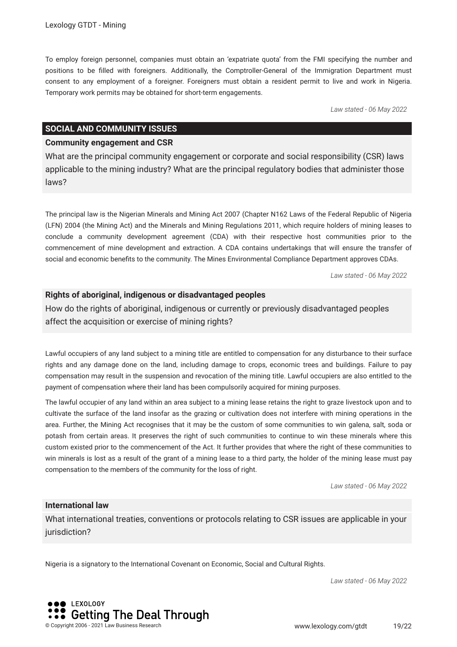To employ foreign personnel, companies must obtain an 'expatriate quota' from the FMI specifying the number and positions to be flled with foreigners. Additionally, the Comptroller-General of the Immigration Department must consent to any employment of a foreigner. Foreigners must obtain a resident permit to live and work in Nigeria. Temporary work permits may be obtained for short-term engagements.

*Law stated - 06 May 2022*

#### **SOCIAL AND COMMUNITY ISSUES**

#### **Community engagement and CSR**

What are the principal community engagement or corporate and social responsibility (CSR) laws applicable to the mining industry? What are the principal regulatory bodies that administer those laws?

The principal law is the Nigerian Minerals and Mining Act 2007 (Chapter N162 Laws of the Federal Republic of Nigeria (LFN) 2004 (the Mining Act) and the Minerals and Mining Regulations 2011, which require holders of mining leases to conclude a community development agreement (CDA) with their respective host communities prior to the commencement of mine development and extraction. A CDA contains undertakings that will ensure the transfer of social and economic benefts to the community. The Mines Environmental Compliance Department approves CDAs.

*Law stated - 06 May 2022*

#### **Rights of aboriginal, indigenous or disadvantaged peoples**

How do the rights of aboriginal, indigenous or currently or previously disadvantaged peoples affect the acquisition or exercise of mining rights?

Lawful occupiers of any land subject to a mining title are entitled to compensation for any disturbance to their surface rights and any damage done on the land, including damage to crops, economic trees and buildings. Failure to pay compensation may result in the suspension and revocation of the mining title. Lawful occupiers are also entitled to the payment of compensation where their land has been compulsorily acquired for mining purposes.

The lawful occupier of any land within an area subject to a mining lease retains the right to graze livestock upon and to cultivate the surface of the land insofar as the grazing or cultivation does not interfere with mining operations in the area. Further, the Mining Act recognises that it may be the custom of some communities to win galena, salt, soda or potash from certain areas. It preserves the right of such communities to continue to win these minerals where this custom existed prior to the commencement of the Act. It further provides that where the right of these communities to win minerals is lost as a result of the grant of a mining lease to a third party, the holder of the mining lease must pay compensation to the members of the community for the loss of right.

*Law stated - 06 May 2022*

#### **International law**

What international treaties, conventions or protocols relating to CSR issues are applicable in your jurisdiction?

Nigeria is a signatory to the International Covenant on Economic, Social and Cultural Rights.

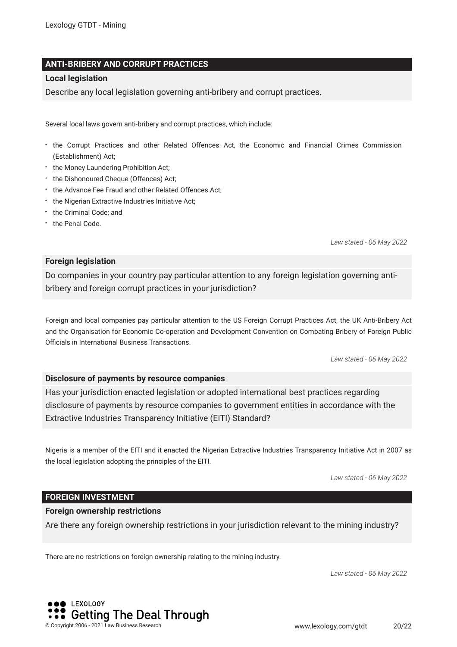#### **ANTI-BRIBERY AND CORRUPT PRACTICES**

#### **Local legislation**

Describe any local legislation governing anti-bribery and corrupt practices.

Several local laws govern anti-bribery and corrupt practices, which include:

- the Corrupt Practices and other Related Offences Act, the Economic and Financial Crimes Commission (Establishment) Act;
- the Money Laundering Prohibition Act;
- $\cdot$  the Dishonoured Cheque (Offences) Act;
- \* the Advance Fee Fraud and other Related Offences Act;
- the Nigerian Extractive Industries Initiative Act;
- the Criminal Code; and
- the Penal Code.

*Law stated - 06 May 2022*

#### **Foreign legislation**

Do companies in your country pay particular attention to any foreign legislation governing antibribery and foreign corrupt practices in your jurisdiction?

Foreign and local companies pay particular attention to the US Foreign Corrupt Practices Act, the UK Anti-Bribery Act and the Organisation for Economic Co-operation and Development Convention on Combating Bribery of Foreign Public Officials in International Business Transactions.

*Law stated - 06 May 2022*

#### **Disclosure of payments by resource companies**

Has your jurisdiction enacted legislation or adopted international best practices regarding disclosure of payments by resource companies to government entities in accordance with the Extractive Industries Transparency Initiative (EITI) Standard?

Nigeria is a member of the EITI and it enacted the Nigerian Extractive Industries Transparency Initiative Act in 2007 as the local legislation adopting the principles of the EITI.

*Law stated - 06 May 2022*

#### **FOREIGN INVESTMENT**

#### **Foreign ownership restrictions**

Are there any foreign ownership restrictions in your jurisdiction relevant to the mining industry?

There are no restrictions on foreign ownership relating to the mining industry.

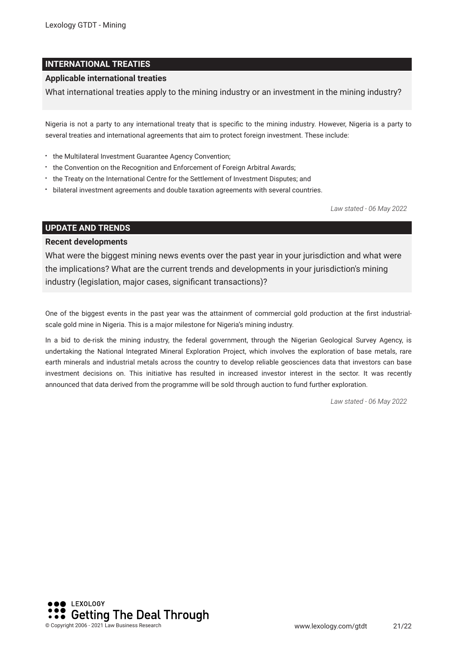#### **INTERNATIONAL TREATIES**

#### **Applicable international treaties**

What international treaties apply to the mining industry or an investment in the mining industry?

Nigeria is not a party to any international treaty that is specifc to the mining industry. However, Nigeria is a party to several treaties and international agreements that aim to protect foreign investment. These include:

- the Multilateral Investment Guarantee Agency Convention;
- the Convention on the Recognition and Enforcement of Foreign Arbitral Awards;
- the Treaty on the International Centre for the Settlement of Investment Disputes; and
- bilateral investment agreements and double taxation agreements with several countries.

*Law stated - 06 May 2022*

#### **UPDATE AND TRENDS**

#### **Recent developments**

What were the biggest mining news events over the past year in your jurisdiction and what were the implications? What are the current trends and developments in your jurisdiction's mining industry (legislation, major cases, signifcant transactions)?

One of the biggest events in the past year was the attainment of commercial gold production at the frst industrialscale gold mine in Nigeria. This is a major milestone for Nigeria's mining industry.

In a bid to de-risk the mining industry, the federal government, through the Nigerian Geological Survey Agency, is undertaking the National Integrated Mineral Exploration Project, which involves the exploration of base metals, rare earth minerals and industrial metals across the country to develop reliable geosciences data that investors can base investment decisions on. This initiative has resulted in increased investor interest in the sector. It was recently announced that data derived from the programme will be sold through auction to fund further exploration.